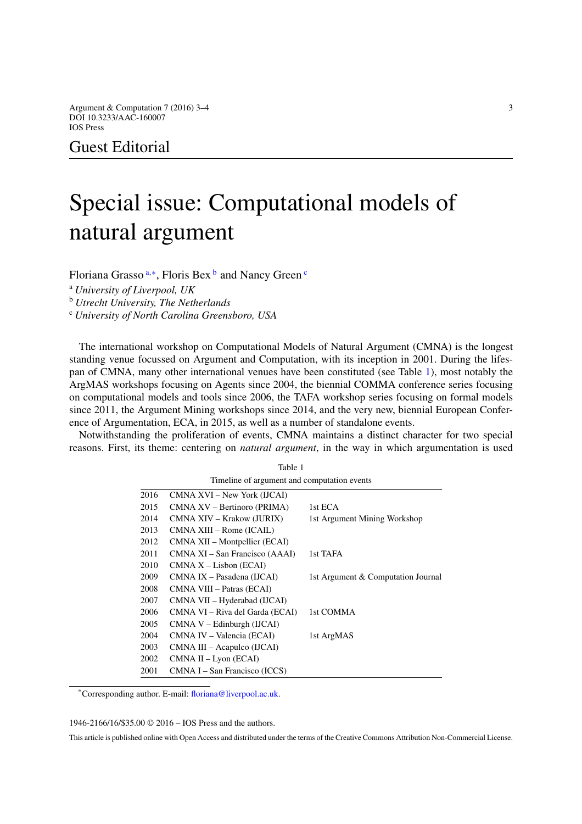Argument & Computation 7 (2016) 3–4  $\frac{3}{4}$ DOI 10.3233/AAC-160007 IOS Press

Guest Editorial

## Special issue: Computational models of natural argument

Floriana Grasso [a](#page-0-0)*,*[∗](#page-0-1), Floris Bex [b](#page-0-2) and Nancy Green [c](#page-0-3)

<span id="page-0-2"></span><sup>a</sup> *University of Liverpool, UK*

<span id="page-0-3"></span><sup>b</sup> *Utrecht University, The Netherlands*

<sup>c</sup> *University of North Carolina Greensboro, USA*

The international workshop on Computational Models of Natural Argument (CMNA) is the longest standing venue focussed on Argument and Computation, with its inception in 2001. During the lifespan of CMNA, many other international venues have been constituted (see Table [1\)](#page-0-4), most notably the ArgMAS workshops focusing on Agents since 2004, the biennial COMMA conference series focusing on computational models and tools since 2006, the TAFA workshop series focusing on formal models since 2011, the Argument Mining workshops since 2014, and the very new, biennial European Conference of Argumentation, ECA, in 2015, as well as a number of standalone events.

Notwithstanding the proliferation of events, CMNA maintains a distinct character for two special reasons. First, its theme: centering on *natural argument*, in the way in which argumentation is used

<span id="page-0-4"></span><span id="page-0-0"></span>Table 1

| Timeline of argument and computation events |                                 |                                    |
|---------------------------------------------|---------------------------------|------------------------------------|
| 2016                                        | CMNA XVI – New York (IJCAI)     |                                    |
| 2015                                        | CMNA XV – Bertinoro (PRIMA)     | 1st ECA                            |
| 2014                                        | CMNA XIV – Krakow (JURIX)       | 1st Argument Mining Workshop       |
| 2013                                        | CMNA XIII – Rome (ICAIL)        |                                    |
| 2012                                        | CMNA XII – Montpellier (ECAI)   |                                    |
| 2011                                        | CMNA XI – San Francisco (AAAI)  | 1st TAFA                           |
| 2010                                        | $CMNA X - Lisbon (ECAI)$        |                                    |
| 2009                                        | CMNA IX – Pasadena (IJCAI)      | 1st Argument & Computation Journal |
| 2008                                        | CMNA VIII - Patras (ECAI)       |                                    |
| 2007                                        | CMNA VII – Hyderabad (IJCAI)    |                                    |
| 2006                                        | CMNA VI – Riva del Garda (ECAI) | 1st COMMA                          |
| 2005                                        | $CMNA$ V – Edinburgh (IJCAI)    |                                    |
| 2004                                        | CMNA IV – Valencia (ECAI)       | 1st ArgMAS                         |
| 2003                                        | CMNA III – Acapulco (IJCAI)     |                                    |
| 2002                                        | $CMNA II - Lyon (ECAI)$         |                                    |
| 2001                                        | CMNA I – San Francisco (ICCS)   |                                    |

<span id="page-0-1"></span>\*Corresponding author. E-mail: [floriana@liverpool.ac.uk.](mailto:floriana@liverpool.ac.uk)

1946-2166/16/\$35.00 © 2016 – IOS Press and the authors.

This article is published online with Open Access and distributed under the terms of the Creative Commons Attribution Non-Commercial License.